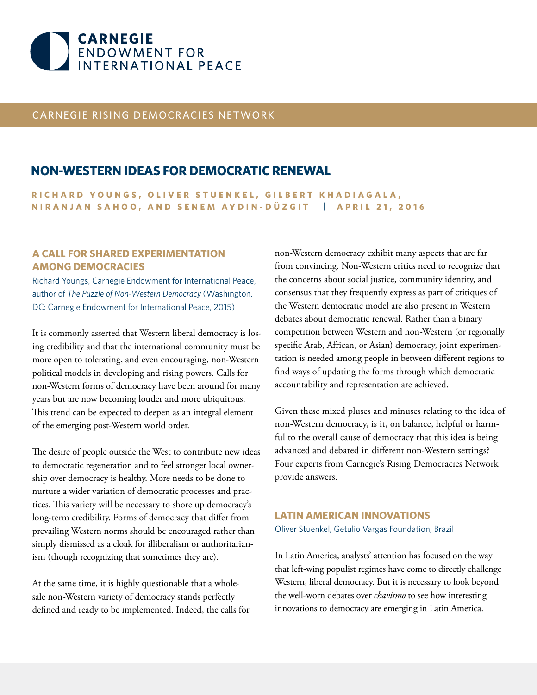

# CARNEGIE RISING DEMOCRACIES NETWORK

# **NON-WESTERN IDEAS FOR DEMOCRATIC RENEWAL**

**RICHARD YOUNGS, OLIVER STUENKEL, GILBERT KHADIAGALA, NIRANJAN SAHOO, AND SENEM AYDIN-DÜZGIT | APRIL 21, 2016**

# **A CALL FOR SHARED EXPERIMENTATION AMONG DEMOCRACIES**

Richard Youngs, Carnegie Endowment for International Peace, author of *The Puzzle of Non-Western Democracy* (Washington, DC: Carnegie Endowment for International Peace, 2015)

It is commonly asserted that Western liberal democracy is losing credibility and that the international community must be more open to tolerating, and even encouraging, non-Western political models in developing and rising powers. Calls for non-Western forms of democracy have been around for many years but are now becoming louder and more ubiquitous. This trend can be expected to deepen as an integral element of the emerging post-Western world order.

The desire of people outside the West to contribute new ideas to democratic regeneration and to feel stronger local ownership over democracy is healthy. More needs to be done to nurture a wider variation of democratic processes and practices. This variety will be necessary to shore up democracy's long-term credibility. Forms of democracy that differ from prevailing Western norms should be encouraged rather than simply dismissed as a cloak for illiberalism or authoritarianism (though recognizing that sometimes they are).

At the same time, it is highly questionable that a wholesale non-Western variety of democracy stands perfectly defined and ready to be implemented. Indeed, the calls for non-Western democracy exhibit many aspects that are far from convincing. Non-Western critics need to recognize that the concerns about social justice, community identity, and consensus that they frequently express as part of critiques of the Western democratic model are also present in Western debates about democratic renewal. Rather than a binary competition between Western and non-Western (or regionally specific Arab, African, or Asian) democracy, joint experimentation is needed among people in between different regions to find ways of updating the forms through which democratic accountability and representation are achieved.

Given these mixed pluses and minuses relating to the idea of non-Western democracy, is it, on balance, helpful or harmful to the overall cause of democracy that this idea is being advanced and debated in different non-Western settings? Four experts from Carnegie's Rising Democracies Network provide answers.

# **LATIN AMERICAN INNOVATIONS** Oliver Stuenkel, Getulio Vargas Foundation, Brazil

In Latin America, analysts' attention has focused on the way that left-wing populist regimes have come to directly challenge Western, liberal democracy. But it is necessary to look beyond the well-worn debates over *chavismo* to see how interesting innovations to democracy are emerging in Latin America.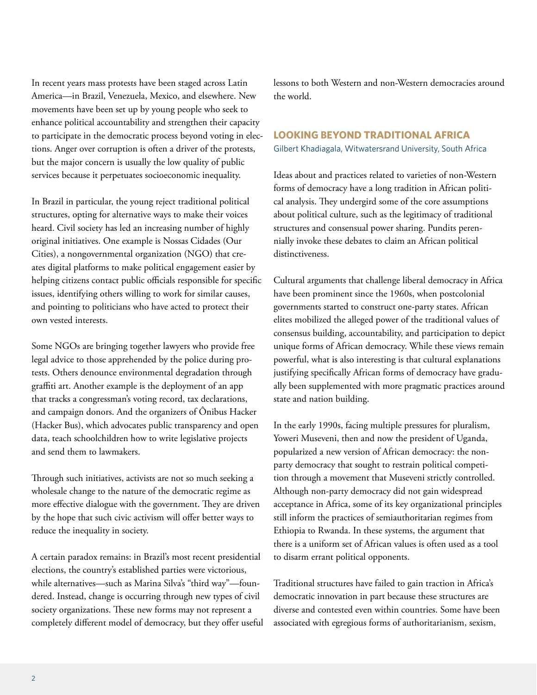In recent years mass protests have been staged across Latin America—in Brazil, Venezuela, Mexico, and elsewhere. New movements have been set up by young people who seek to enhance political accountability and strengthen their capacity to participate in the democratic process beyond voting in elections. Anger over corruption is often a driver of the protests, but the major concern is usually the low quality of public services because it perpetuates socioeconomic inequality.

In Brazil in particular, the young reject traditional political structures, opting for alternative ways to make their voices heard. Civil society has led an increasing number of highly original initiatives. One example is Nossas Cidades (Our Cities), a nongovernmental organization (NGO) that creates digital platforms to make political engagement easier by helping citizens contact public officials responsible for specific issues, identifying others willing to work for similar causes, and pointing to politicians who have acted to protect their own vested interests.

Some NGOs are bringing together lawyers who provide free legal advice to those apprehended by the police during protests. Others denounce environmental degradation through graffiti art. Another example is the deployment of an app that tracks a congressman's voting record, tax declarations, and campaign donors. And the organizers of Ônibus Hacker (Hacker Bus), which advocates public transparency and open data, teach schoolchildren how to write legislative projects and send them to lawmakers.

Through such initiatives, activists are not so much seeking a wholesale change to the nature of the democratic regime as more effective dialogue with the government. They are driven by the hope that such civic activism will offer better ways to reduce the inequality in society.

A certain paradox remains: in Brazil's most recent presidential elections, the country's established parties were victorious, while alternatives—such as Marina Silva's "third way"—foundered. Instead, change is occurring through new types of civil society organizations. These new forms may not represent a completely different model of democracy, but they offer useful lessons to both Western and non-Western democracies around the world.

# **LOOKING BEYOND TRADITIONAL AFRICA** Gilbert Khadiagala, Witwatersrand University, South Africa

Ideas about and practices related to varieties of non-Western forms of democracy have a long tradition in African political analysis. They undergird some of the core assumptions about political culture, such as the legitimacy of traditional structures and consensual power sharing. Pundits perennially invoke these debates to claim an African political distinctiveness.

Cultural arguments that challenge liberal democracy in Africa have been prominent since the 1960s, when postcolonial governments started to construct one-party states. African elites mobilized the alleged power of the traditional values of consensus building, accountability, and participation to depict unique forms of African democracy. While these views remain powerful, what is also interesting is that cultural explanations justifying specifically African forms of democracy have gradually been supplemented with more pragmatic practices around state and nation building.

In the early 1990s, facing multiple pressures for pluralism, Yoweri Museveni, then and now the president of Uganda, popularized a new version of African democracy: the nonparty democracy that sought to restrain political competition through a movement that Museveni strictly controlled. Although non-party democracy did not gain widespread acceptance in Africa, some of its key organizational principles still inform the practices of semiauthoritarian regimes from Ethiopia to Rwanda. In these systems, the argument that there is a uniform set of African values is often used as a tool to disarm errant political opponents.

Traditional structures have failed to gain traction in Africa's democratic innovation in part because these structures are diverse and contested even within countries. Some have been associated with egregious forms of authoritarianism, sexism,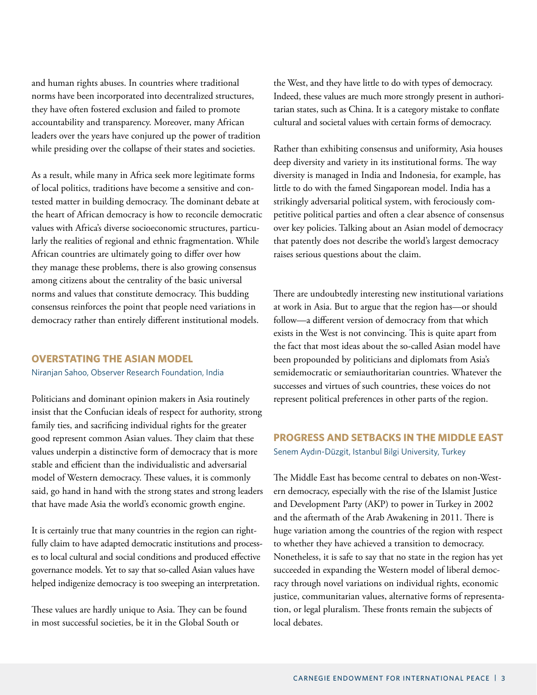and human rights abuses. In countries where traditional norms have been incorporated into decentralized structures, they have often fostered exclusion and failed to promote accountability and transparency. Moreover, many African leaders over the years have conjured up the power of tradition while presiding over the collapse of their states and societies.

As a result, while many in Africa seek more legitimate forms of local politics, traditions have become a sensitive and contested matter in building democracy. The dominant debate at the heart of African democracy is how to reconcile democratic values with Africa's diverse socioeconomic structures, particularly the realities of regional and ethnic fragmentation. While African countries are ultimately going to differ over how they manage these problems, there is also growing consensus among citizens about the centrality of the basic universal norms and values that constitute democracy. This budding consensus reinforces the point that people need variations in democracy rather than entirely different institutional models.

### **OVERSTATING THE ASIAN MODEL**

#### Niranjan Sahoo, Observer Research Foundation, India

Politicians and dominant opinion makers in Asia routinely insist that the Confucian ideals of respect for authority, strong family ties, and sacrificing individual rights for the greater good represent common Asian values. They claim that these values underpin a distinctive form of democracy that is more stable and efficient than the individualistic and adversarial model of Western democracy. These values, it is commonly said, go hand in hand with the strong states and strong leaders that have made Asia the world's economic growth engine.

It is certainly true that many countries in the region can rightfully claim to have adapted democratic institutions and processes to local cultural and social conditions and produced effective governance models. Yet to say that so-called Asian values have helped indigenize democracy is too sweeping an interpretation.

These values are hardly unique to Asia. They can be found in most successful societies, be it in the Global South or

the West, and they have little to do with types of democracy. Indeed, these values are much more strongly present in authoritarian states, such as China. It is a category mistake to conflate cultural and societal values with certain forms of democracy.

Rather than exhibiting consensus and uniformity, Asia houses deep diversity and variety in its institutional forms. The way diversity is managed in India and Indonesia, for example, has little to do with the famed Singaporean model. India has a strikingly adversarial political system, with ferociously competitive political parties and often a clear absence of consensus over key policies. Talking about an Asian model of democracy that patently does not describe the world's largest democracy raises serious questions about the claim.

There are undoubtedly interesting new institutional variations at work in Asia. But to argue that the region has—or should follow—a different version of democracy from that which exists in the West is not convincing. This is quite apart from the fact that most ideas about the so-called Asian model have been propounded by politicians and diplomats from Asia's semidemocratic or semiauthoritarian countries. Whatever the successes and virtues of such countries, these voices do not represent political preferences in other parts of the region.

# **PROGRESS AND SETBACKS IN THE MIDDLE EAST** Senem Aydın-Düzgit, Istanbul Bilgi University, Turkey

The Middle East has become central to debates on non-Western democracy, especially with the rise of the Islamist Justice and Development Party (AKP) to power in Turkey in 2002 and the aftermath of the Arab Awakening in 2011. There is huge variation among the countries of the region with respect to whether they have achieved a transition to democracy. Nonetheless, it is safe to say that no state in the region has yet succeeded in expanding the Western model of liberal democracy through novel variations on individual rights, economic justice, communitarian values, alternative forms of representation, or legal pluralism. These fronts remain the subjects of local debates.